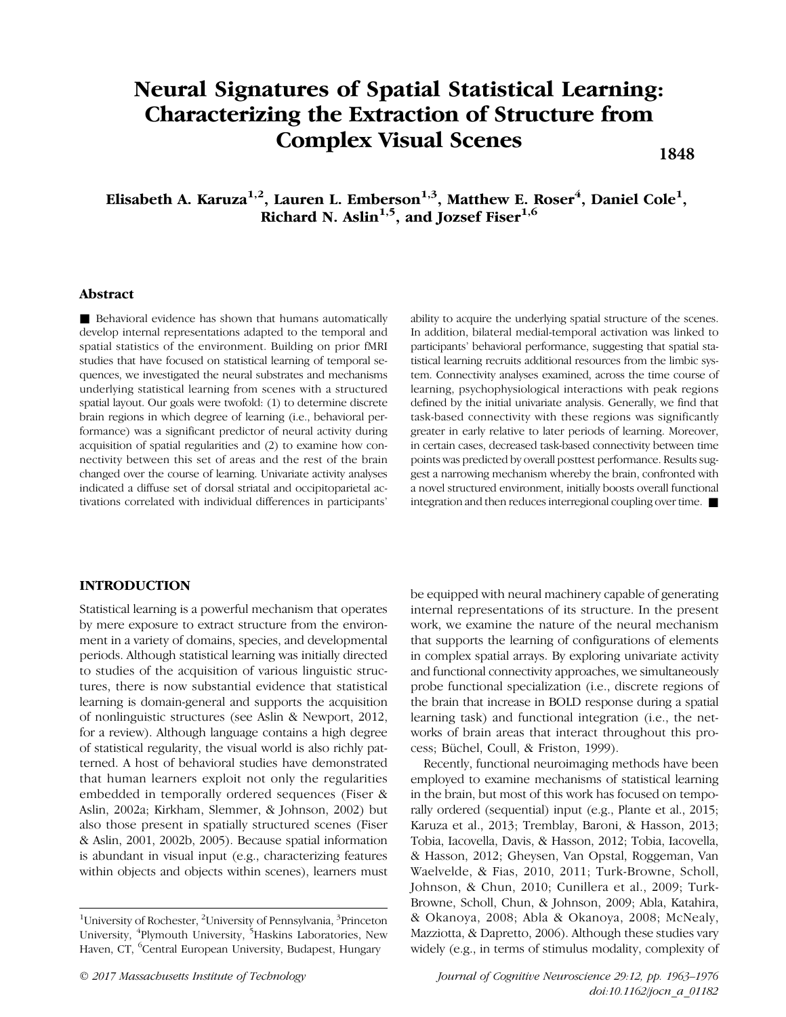# Neural Signatures of Spatial Statistical Learning: Characterizing the Extraction of Structure from Complex Visual Scenes

**1848**

Elisabeth A. Karuza $^{1,2}$ , Lauren L. Emberson $^{1,3}$ , Matthew E. Roser $^4$ , Daniel Cole $^1$ , Richard N. Aslin<sup>1,5</sup>, and Jozsef Fiser<sup>1,6</sup>

## Abstract

■ Behavioral evidence has shown that humans automatically develop internal representations adapted to the temporal and spatial statistics of the environment. Building on prior fMRI studies that have focused on statistical learning of temporal sequences, we investigated the neural substrates and mechanisms underlying statistical learning from scenes with a structured spatial layout. Our goals were twofold: (1) to determine discrete brain regions in which degree of learning (i.e., behavioral performance) was a significant predictor of neural activity during acquisition of spatial regularities and (2) to examine how connectivity between this set of areas and the rest of the brain changed over the course of learning. Univariate activity analyses indicated a diffuse set of dorsal striatal and occipitoparietal activations correlated with individual differences in participants'

ability to acquire the underlying spatial structure of the scenes. In addition, bilateral medial-temporal activation was linked to participants' behavioral performance, suggesting that spatial statistical learning recruits additional resources from the limbic system. Connectivity analyses examined, across the time course of learning, psychophysiological interactions with peak regions defined by the initial univariate analysis. Generally, we find that task-based connectivity with these regions was significantly greater in early relative to later periods of learning. Moreover, in certain cases, decreased task-based connectivity between time points was predicted by overall posttest performance. Results suggest a narrowing mechanism whereby the brain, confronted with a novel structured environment, initially boosts overall functional integration and then reduces interregional coupling over time. ■

## INTRODUCTION

Statistical learning is a powerful mechanism that operates by mere exposure to extract structure from the environment in a variety of domains, species, and developmental periods. Although statistical learning was initially directed to studies of the acquisition of various linguistic structures, there is now substantial evidence that statistical learning is domain-general and supports the acquisition of nonlinguistic structures (see Aslin & Newport, 2012, for a review). Although language contains a high degree of statistical regularity, the visual world is also richly patterned. A host of behavioral studies have demonstrated that human learners exploit not only the regularities embedded in temporally ordered sequences (Fiser & Aslin, 2002a; Kirkham, Slemmer, & Johnson, 2002) but also those present in spatially structured scenes (Fiser & Aslin, 2001, 2002b, 2005). Because spatial information is abundant in visual input (e.g., characterizing features within objects and objects within scenes), learners must

be equipped with neural machinery capable of generating internal representations of its structure. In the present work, we examine the nature of the neural mechanism that supports the learning of configurations of elements in complex spatial arrays. By exploring univariate activity and functional connectivity approaches, we simultaneously probe functional specialization (i.e., discrete regions of the brain that increase in BOLD response during a spatial learning task) and functional integration (i.e., the networks of brain areas that interact throughout this process; Büchel, Coull, & Friston, 1999).

Recently, functional neuroimaging methods have been employed to examine mechanisms of statistical learning in the brain, but most of this work has focused on temporally ordered (sequential) input (e.g., Plante et al., 2015; Karuza et al., 2013; Tremblay, Baroni, & Hasson, 2013; Tobia, Iacovella, Davis, & Hasson, 2012; Tobia, Iacovella, & Hasson, 2012; Gheysen, Van Opstal, Roggeman, Van Waelvelde, & Fias, 2010, 2011; Turk-Browne, Scholl, Johnson, & Chun, 2010; Cunillera et al., 2009; Turk-Browne, Scholl, Chun, & Johnson, 2009; Abla, Katahira, & Okanoya, 2008; Abla & Okanoya, 2008; McNealy, Mazziotta, & Dapretto, 2006). Although these studies vary widely (e.g., in terms of stimulus modality, complexity of

© 2017 Massachusetts Institute of Technology Journal of Cognitive Neuroscience 29:12, pp. 1963–1976 doi:10.1162/jocn\_a\_01182

<sup>&</sup>lt;sup>1</sup>University of Rochester, <sup>2</sup>University of Pennsylvania, <sup>3</sup>Princeton University, <sup>4</sup>Plymouth University, <sup>5</sup>Haskins Laboratories, New Haven, CT, <sup>6</sup>Central European University, Budapest, Hungary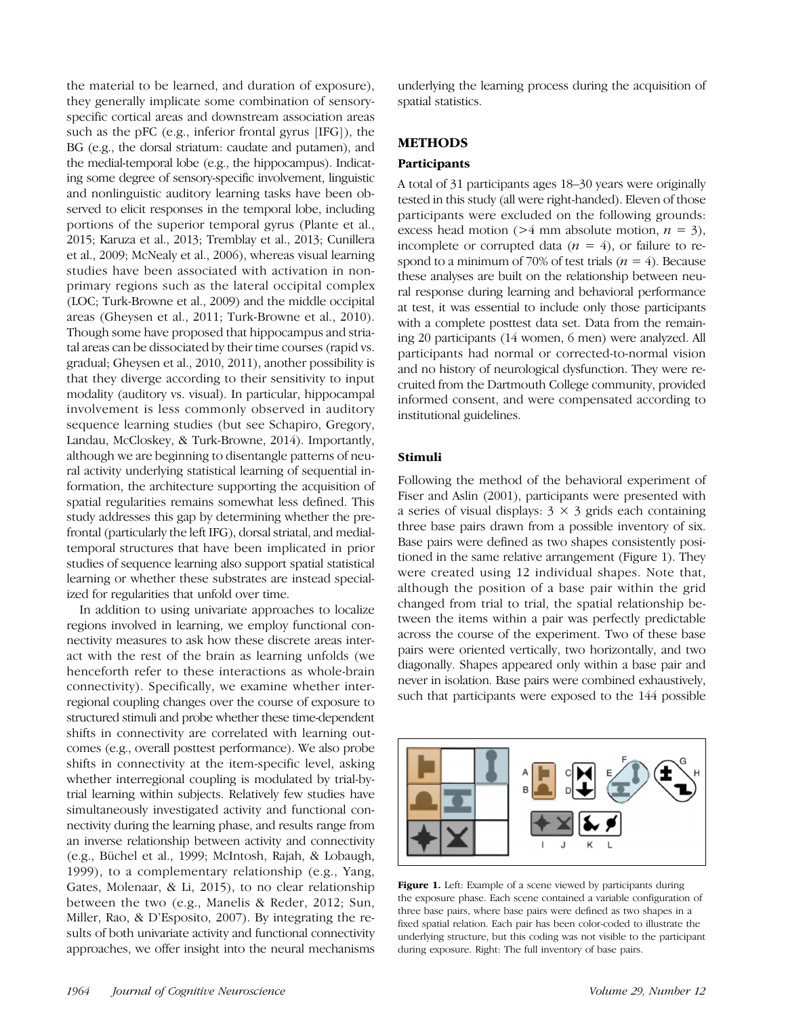the material to be learned, and duration of exposure), they generally implicate some combination of sensoryspecific cortical areas and downstream association areas such as the pFC (e.g., inferior frontal gyrus [IFG]), the BG (e.g., the dorsal striatum: caudate and putamen), and the medial-temporal lobe (e.g., the hippocampus). Indicating some degree of sensory-specific involvement, linguistic and nonlinguistic auditory learning tasks have been observed to elicit responses in the temporal lobe, including portions of the superior temporal gyrus (Plante et al., 2015; Karuza et al., 2013; Tremblay et al., 2013; Cunillera et al., 2009; McNealy et al., 2006), whereas visual learning studies have been associated with activation in nonprimary regions such as the lateral occipital complex (LOC; Turk-Browne et al., 2009) and the middle occipital areas (Gheysen et al., 2011; Turk-Browne et al., 2010). Though some have proposed that hippocampus and striatal areas can be dissociated by their time courses (rapid vs. gradual; Gheysen et al., 2010, 2011), another possibility is that they diverge according to their sensitivity to input modality (auditory vs. visual). In particular, hippocampal involvement is less commonly observed in auditory sequence learning studies (but see Schapiro, Gregory, Landau, McCloskey, & Turk-Browne, 2014). Importantly, although we are beginning to disentangle patterns of neural activity underlying statistical learning of sequential information, the architecture supporting the acquisition of spatial regularities remains somewhat less defined. This study addresses this gap by determining whether the prefrontal (particularly the left IFG), dorsal striatal, and medialtemporal structures that have been implicated in prior studies of sequence learning also support spatial statistical learning or whether these substrates are instead specialized for regularities that unfold over time.

In addition to using univariate approaches to localize regions involved in learning, we employ functional connectivity measures to ask how these discrete areas interact with the rest of the brain as learning unfolds (we henceforth refer to these interactions as whole-brain connectivity). Specifically, we examine whether interregional coupling changes over the course of exposure to structured stimuli and probe whether these time-dependent shifts in connectivity are correlated with learning outcomes (e.g., overall posttest performance). We also probe shifts in connectivity at the item-specific level, asking whether interregional coupling is modulated by trial-bytrial learning within subjects. Relatively few studies have simultaneously investigated activity and functional connectivity during the learning phase, and results range from an inverse relationship between activity and connectivity (e.g., Büchel et al., 1999; McIntosh, Rajah, & Lobaugh, 1999), to a complementary relationship (e.g., Yang, Gates, Molenaar, & Li, 2015), to no clear relationship between the two (e.g., Manelis & Reder, 2012; Sun, Miller, Rao, & D'Esposito, 2007). By integrating the results of both univariate activity and functional connectivity approaches, we offer insight into the neural mechanisms underlying the learning process during the acquisition of spatial statistics.

## METHODS

# **Participants**

A total of 31 participants ages 18–30 years were originally tested in this study (all were right-handed). Eleven of those participants were excluded on the following grounds: excess head motion ( $>4$  mm absolute motion,  $n = 3$ ), incomplete or corrupted data  $(n = 4)$ , or failure to respond to a minimum of 70% of test trials ( $n = 4$ ). Because these analyses are built on the relationship between neural response during learning and behavioral performance at test, it was essential to include only those participants with a complete posttest data set. Data from the remaining 20 participants (14 women, 6 men) were analyzed. All participants had normal or corrected-to-normal vision and no history of neurological dysfunction. They were recruited from the Dartmouth College community, provided informed consent, and were compensated according to institutional guidelines.

## Stimuli

Following the method of the behavioral experiment of Fiser and Aslin (2001), participants were presented with a series of visual displays:  $3 \times 3$  grids each containing three base pairs drawn from a possible inventory of six. Base pairs were defined as two shapes consistently positioned in the same relative arrangement (Figure 1). They were created using 12 individual shapes. Note that, although the position of a base pair within the grid changed from trial to trial, the spatial relationship between the items within a pair was perfectly predictable across the course of the experiment. Two of these base pairs were oriented vertically, two horizontally, and two diagonally. Shapes appeared only within a base pair and never in isolation. Base pairs were combined exhaustively, such that participants were exposed to the 144 possible



Figure 1. Left: Example of a scene viewed by participants during the exposure phase. Each scene contained a variable configuration of three base pairs, where base pairs were defined as two shapes in a fixed spatial relation. Each pair has been color-coded to illustrate the underlying structure, but this coding was not visible to the participant during exposure. Right: The full inventory of base pairs.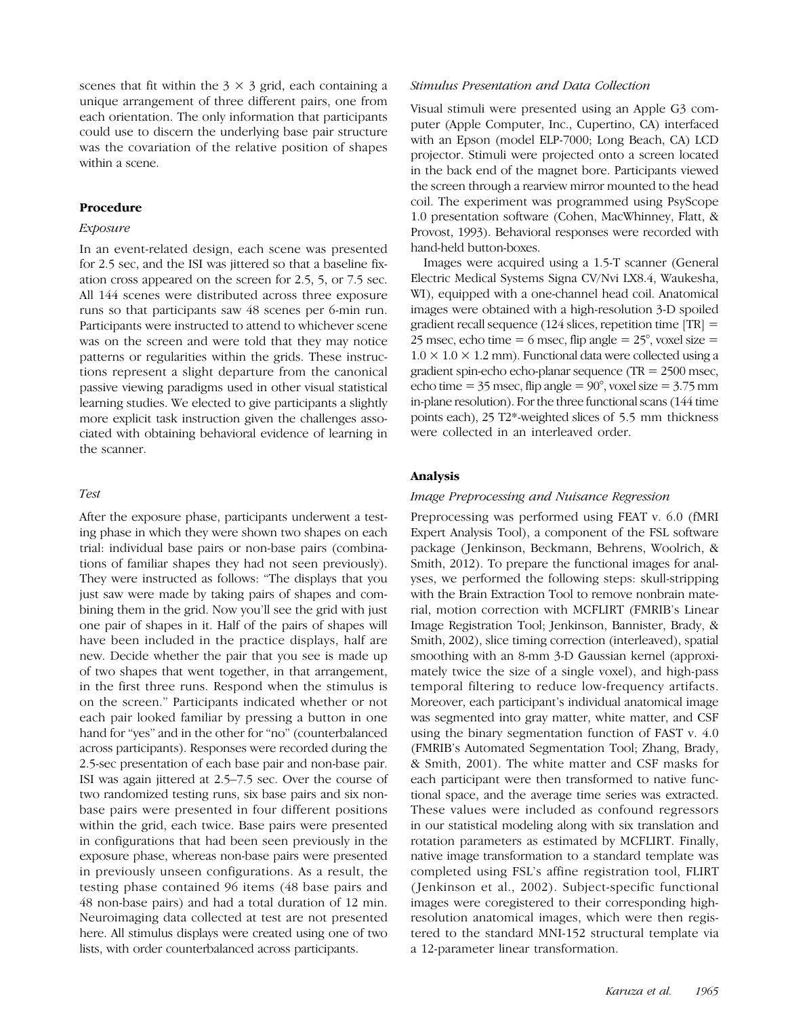scenes that fit within the  $3 \times 3$  grid, each containing a unique arrangement of three different pairs, one from each orientation. The only information that participants could use to discern the underlying base pair structure was the covariation of the relative position of shapes within a scene.

## Procedure

#### Exposure

In an event-related design, each scene was presented for 2.5 sec, and the ISI was jittered so that a baseline fixation cross appeared on the screen for 2.5, 5, or 7.5 sec. All 144 scenes were distributed across three exposure runs so that participants saw 48 scenes per 6-min run. Participants were instructed to attend to whichever scene was on the screen and were told that they may notice patterns or regularities within the grids. These instructions represent a slight departure from the canonical passive viewing paradigms used in other visual statistical learning studies. We elected to give participants a slightly more explicit task instruction given the challenges associated with obtaining behavioral evidence of learning in the scanner.

## Test

After the exposure phase, participants underwent a testing phase in which they were shown two shapes on each trial: individual base pairs or non-base pairs (combinations of familiar shapes they had not seen previously). They were instructed as follows: "The displays that you just saw were made by taking pairs of shapes and combining them in the grid. Now you'll see the grid with just one pair of shapes in it. Half of the pairs of shapes will have been included in the practice displays, half are new. Decide whether the pair that you see is made up of two shapes that went together, in that arrangement, in the first three runs. Respond when the stimulus is on the screen." Participants indicated whether or not each pair looked familiar by pressing a button in one hand for "yes" and in the other for "no" (counterbalanced across participants). Responses were recorded during the 2.5-sec presentation of each base pair and non-base pair. ISI was again jittered at 2.5–7.5 sec. Over the course of two randomized testing runs, six base pairs and six nonbase pairs were presented in four different positions within the grid, each twice. Base pairs were presented in configurations that had been seen previously in the exposure phase, whereas non-base pairs were presented in previously unseen configurations. As a result, the testing phase contained 96 items (48 base pairs and 48 non-base pairs) and had a total duration of 12 min. Neuroimaging data collected at test are not presented here. All stimulus displays were created using one of two lists, with order counterbalanced across participants.

## Stimulus Presentation and Data Collection

Visual stimuli were presented using an Apple G3 computer (Apple Computer, Inc., Cupertino, CA) interfaced with an Epson (model ELP-7000; Long Beach, CA) LCD projector. Stimuli were projected onto a screen located in the back end of the magnet bore. Participants viewed the screen through a rearview mirror mounted to the head coil. The experiment was programmed using PsyScope 1.0 presentation software (Cohen, MacWhinney, Flatt, & Provost, 1993). Behavioral responses were recorded with hand-held button-boxes.

Images were acquired using a 1.5-T scanner (General Electric Medical Systems Signa CV/Nvi LX8.4, Waukesha, WI), equipped with a one-channel head coil. Anatomical images were obtained with a high-resolution 3-D spoiled gradient recall sequence  $(124 \text{ slices}, \text{repetition time } | \text{TR} | =$ 25 msec, echo time = 6 msec, flip angle =  $25^{\circ}$ , voxel size =  $1.0 \times 1.0 \times 1.2$  mm). Functional data were collected using a gradient spin-echo echo-planar sequence (TR = 2500 msec, echo time =  $35$  msec, flip angle =  $90^{\circ}$ , voxel size =  $3.75$  mm in-plane resolution). For the three functional scans (144 time points each), 25 T2\*-weighted slices of 5.5 mm thickness were collected in an interleaved order.

## Analysis

#### Image Preprocessing and Nuisance Regression

Preprocessing was performed using FEAT v. 6.0 (fMRI Expert Analysis Tool), a component of the FSL software package ( Jenkinson, Beckmann, Behrens, Woolrich, & Smith, 2012). To prepare the functional images for analyses, we performed the following steps: skull-stripping with the Brain Extraction Tool to remove nonbrain material, motion correction with MCFLIRT (FMRIB's Linear Image Registration Tool; Jenkinson, Bannister, Brady, & Smith, 2002), slice timing correction (interleaved), spatial smoothing with an 8-mm 3-D Gaussian kernel (approximately twice the size of a single voxel), and high-pass temporal filtering to reduce low-frequency artifacts. Moreover, each participant's individual anatomical image was segmented into gray matter, white matter, and CSF using the binary segmentation function of FAST v. 4.0 (FMRIB's Automated Segmentation Tool; Zhang, Brady, & Smith, 2001). The white matter and CSF masks for each participant were then transformed to native functional space, and the average time series was extracted. These values were included as confound regressors in our statistical modeling along with six translation and rotation parameters as estimated by MCFLIRT. Finally, native image transformation to a standard template was completed using FSL's affine registration tool, FLIRT ( Jenkinson et al., 2002). Subject-specific functional images were coregistered to their corresponding highresolution anatomical images, which were then registered to the standard MNI-152 structural template via a 12-parameter linear transformation.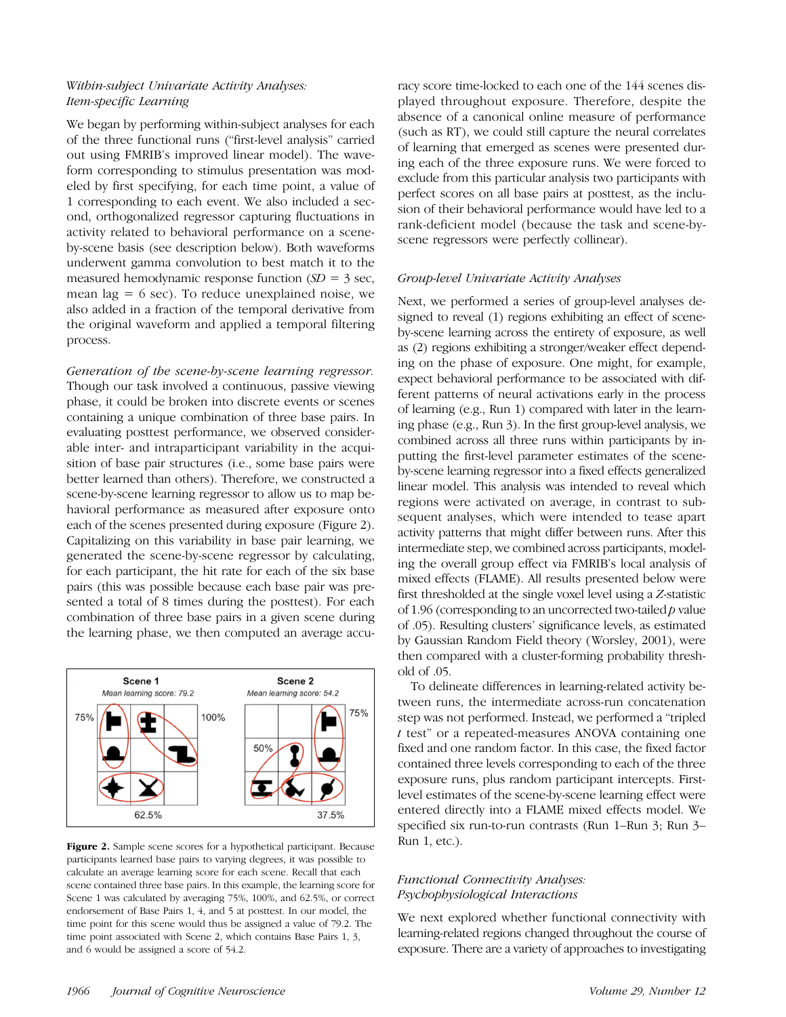# Within-subject Univariate Activity Analyses: Item-specific Learning

We began by performing within-subject analyses for each of the three functional runs ("first-level analysis" carried out using FMRIB's improved linear model). The waveform corresponding to stimulus presentation was modeled by first specifying, for each time point, a value of 1 corresponding to each event. We also included a second, orthogonalized regressor capturing fluctuations in activity related to behavioral performance on a sceneby-scene basis (see description below). Both waveforms underwent gamma convolution to best match it to the measured hemodynamic response function  $(SD = 3 \text{ sec.})$ mean  $\log = 6$  sec). To reduce unexplained noise, we also added in a fraction of the temporal derivative from the original waveform and applied a temporal filtering process.

Generation of the scene-by-scene learning regressor. Though our task involved a continuous, passive viewing phase, it could be broken into discrete events or scenes containing a unique combination of three base pairs. In evaluating posttest performance, we observed considerable inter- and intraparticipant variability in the acquisition of base pair structures (i.e., some base pairs were better learned than others). Therefore, we constructed a scene-by-scene learning regressor to allow us to map behavioral performance as measured after exposure onto each of the scenes presented during exposure (Figure 2). Capitalizing on this variability in base pair learning, we generated the scene-by-scene regressor by calculating, for each participant, the hit rate for each of the six base pairs (this was possible because each base pair was presented a total of 8 times during the posttest). For each combination of three base pairs in a given scene during the learning phase, we then computed an average accu-



Figure 2. Sample scene scores for a hypothetical participant. Because participants learned base pairs to varying degrees, it was possible to calculate an average learning score for each scene. Recall that each scene contained three base pairs. In this example, the learning score for Scene 1 was calculated by averaging 75%, 100%, and 62.5%, or correct endorsement of Base Pairs 1, 4, and 5 at posttest. In our model, the time point for this scene would thus be assigned a value of 79.2. The time point associated with Scene 2, which contains Base Pairs 1, 3, and 6 would be assigned a score of 54.2.

racy score time-locked to each one of the 144 scenes displayed throughout exposure. Therefore, despite the absence of a canonical online measure of performance (such as RT), we could still capture the neural correlates of learning that emerged as scenes were presented during each of the three exposure runs. We were forced to exclude from this particular analysis two participants with perfect scores on all base pairs at posttest, as the inclusion of their behavioral performance would have led to a rank-deficient model (because the task and scene-byscene regressors were perfectly collinear).

## Group-level Univariate Activity Analyses

Next, we performed a series of group-level analyses designed to reveal (1) regions exhibiting an effect of sceneby-scene learning across the entirety of exposure, as well as (2) regions exhibiting a stronger/weaker effect depending on the phase of exposure. One might, for example, expect behavioral performance to be associated with different patterns of neural activations early in the process of learning (e.g., Run 1) compared with later in the learning phase (e.g., Run 3). In the first group-level analysis, we combined across all three runs within participants by inputting the first-level parameter estimates of the sceneby-scene learning regressor into a fixed effects generalized linear model. This analysis was intended to reveal which regions were activated on average, in contrast to subsequent analyses, which were intended to tease apart activity patterns that might differ between runs. After this intermediate step, we combined across participants, modeling the overall group effect via FMRIB's local analysis of mixed effects (FLAME). All results presented below were first thresholded at the single voxel level using a Z-statistic of 1.96 (corresponding to an uncorrected two-tailed p value of .05). Resulting clusters' significance levels, as estimated by Gaussian Random Field theory (Worsley, 2001), were then compared with a cluster-forming probability threshold of .05.

To delineate differences in learning-related activity between runs, the intermediate across-run concatenation step was not performed. Instead, we performed a "tripled t test" or a repeated-measures ANOVA containing one fixed and one random factor. In this case, the fixed factor contained three levels corresponding to each of the three exposure runs, plus random participant intercepts. Firstlevel estimates of the scene-by-scene learning effect were entered directly into a FLAME mixed effects model. We specified six run-to-run contrasts (Run 1–Run 3; Run 3– Run 1, etc.).

## Functional Connectivity Analyses: Psychophysiological Interactions

We next explored whether functional connectivity with learning-related regions changed throughout the course of exposure. There are a variety of approaches to investigating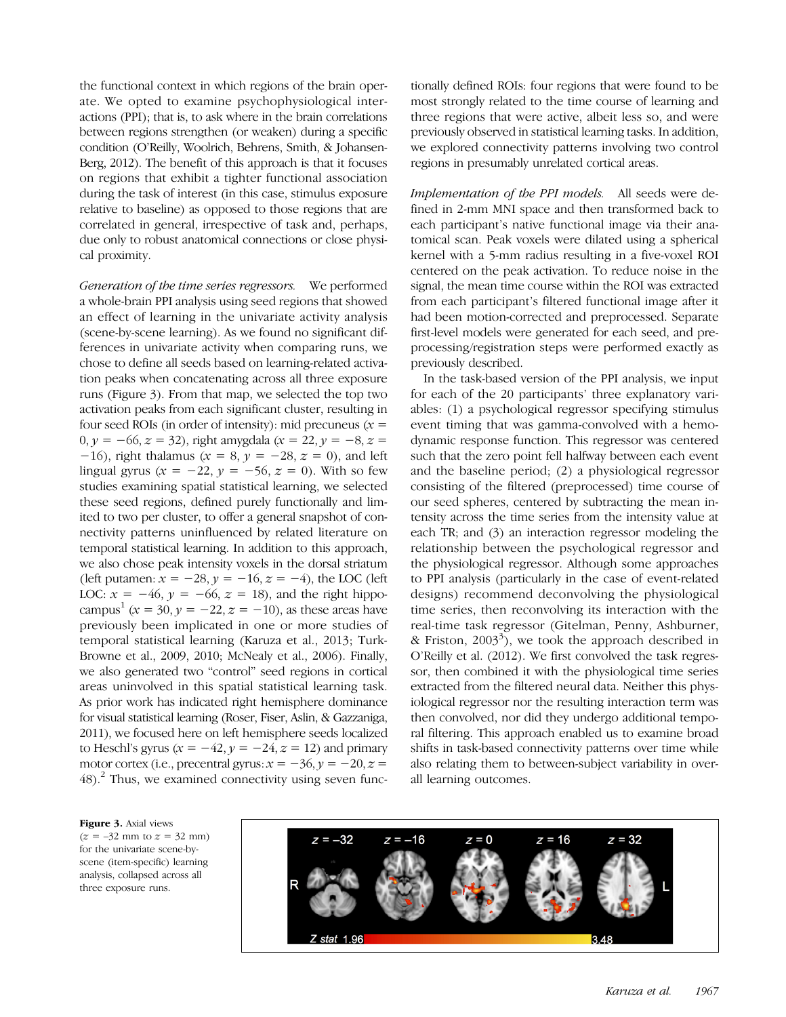the functional context in which regions of the brain operate. We opted to examine psychophysiological interactions (PPI); that is, to ask where in the brain correlations between regions strengthen (or weaken) during a specific condition (O'Reilly, Woolrich, Behrens, Smith, & Johansen-Berg, 2012). The benefit of this approach is that it focuses on regions that exhibit a tighter functional association during the task of interest (in this case, stimulus exposure relative to baseline) as opposed to those regions that are correlated in general, irrespective of task and, perhaps, due only to robust anatomical connections or close physical proximity.

Generation of the time series regressors. We performed a whole-brain PPI analysis using seed regions that showed an effect of learning in the univariate activity analysis (scene-by-scene learning). As we found no significant differences in univariate activity when comparing runs, we chose to define all seeds based on learning-related activation peaks when concatenating across all three exposure runs (Figure 3). From that map, we selected the top two activation peaks from each significant cluster, resulting in four seed ROIs (in order of intensity): mid precuneus ( $x =$ 0,  $y = -66$ ,  $z = 32$ ), right amygdala ( $x = 22$ ,  $y = -8$ ,  $z =$ −16), right thalamus ( $x = 8$ ,  $y = -28$ ,  $z = 0$ ), and left lingual gyrus ( $x = -22$ ,  $y = -56$ ,  $z = 0$ ). With so few studies examining spatial statistical learning, we selected these seed regions, defined purely functionally and limited to two per cluster, to offer a general snapshot of connectivity patterns uninfluenced by related literature on temporal statistical learning. In addition to this approach, we also chose peak intensity voxels in the dorsal striatum (left putamen:  $x = -28$ ,  $y = -16$ ,  $z = -4$ ), the LOC (left LOC:  $x = -46$ ,  $y = -66$ ,  $z = 18$ ), and the right hippocampus<sup>1</sup> ( $x = 30$ ,  $y = -22$ ,  $z = -10$ ), as these areas have previously been implicated in one or more studies of temporal statistical learning (Karuza et al., 2013; Turk-Browne et al., 2009, 2010; McNealy et al., 2006). Finally, we also generated two "control" seed regions in cortical areas uninvolved in this spatial statistical learning task. As prior work has indicated right hemisphere dominance for visual statistical learning (Roser, Fiser, Aslin, & Gazzaniga, 2011), we focused here on left hemisphere seeds localized to Heschl's gyrus ( $x = -42$ ,  $y = -24$ ,  $z = 12$ ) and primary motor cortex (i.e., precentral gyrus:  $x = -36$ ,  $y = -20$ ,  $z =$  $48$ ).<sup>2</sup> Thus, we examined connectivity using seven func-

tionally defined ROIs: four regions that were found to be most strongly related to the time course of learning and three regions that were active, albeit less so, and were previously observed in statistical learning tasks. In addition, we explored connectivity patterns involving two control regions in presumably unrelated cortical areas.

Implementation of the PPI models. All seeds were defined in 2-mm MNI space and then transformed back to each participant's native functional image via their anatomical scan. Peak voxels were dilated using a spherical kernel with a 5-mm radius resulting in a five-voxel ROI centered on the peak activation. To reduce noise in the signal, the mean time course within the ROI was extracted from each participant's filtered functional image after it had been motion-corrected and preprocessed. Separate first-level models were generated for each seed, and preprocessing/registration steps were performed exactly as previously described.

In the task-based version of the PPI analysis, we input for each of the 20 participants' three explanatory variables: (1) a psychological regressor specifying stimulus event timing that was gamma-convolved with a hemodynamic response function. This regressor was centered such that the zero point fell halfway between each event and the baseline period; (2) a physiological regressor consisting of the filtered (preprocessed) time course of our seed spheres, centered by subtracting the mean intensity across the time series from the intensity value at each TR; and (3) an interaction regressor modeling the relationship between the psychological regressor and the physiological regressor. Although some approaches to PPI analysis (particularly in the case of event-related designs) recommend deconvolving the physiological time series, then reconvolving its interaction with the real-time task regressor (Gitelman, Penny, Ashburner, & Friston, 2003<sup>3</sup>), we took the approach described in O'Reilly et al. (2012). We first convolved the task regressor, then combined it with the physiological time series extracted from the filtered neural data. Neither this physiological regressor nor the resulting interaction term was then convolved, nor did they undergo additional temporal filtering. This approach enabled us to examine broad shifts in task-based connectivity patterns over time while also relating them to between-subject variability in overall learning outcomes.

Figure 3. Axial views  $(z = -32 \text{ mm to } z = 32 \text{ mm})$ for the univariate scene-byscene (item-specific) learning analysis, collapsed across all three exposure runs.

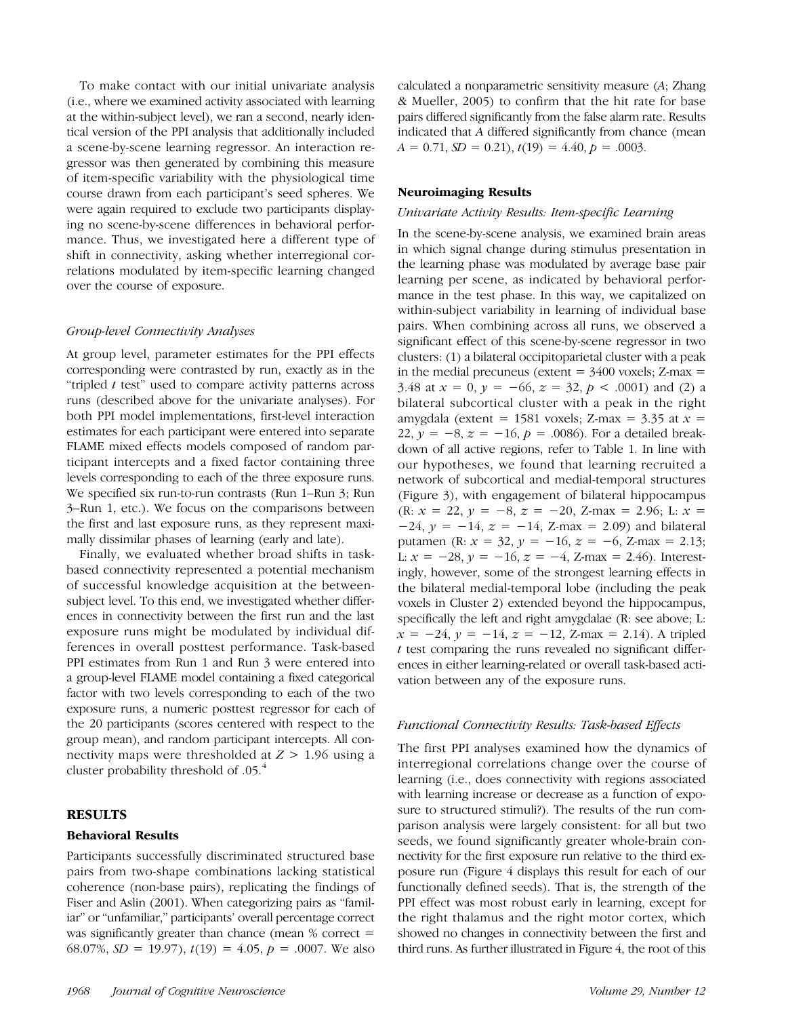To make contact with our initial univariate analysis (i.e., where we examined activity associated with learning at the within-subject level), we ran a second, nearly identical version of the PPI analysis that additionally included a scene-by-scene learning regressor. An interaction regressor was then generated by combining this measure of item-specific variability with the physiological time course drawn from each participant's seed spheres. We were again required to exclude two participants displaying no scene-by-scene differences in behavioral performance. Thus, we investigated here a different type of shift in connectivity, asking whether interregional correlations modulated by item-specific learning changed over the course of exposure.

## Group-level Connectivity Analyses

At group level, parameter estimates for the PPI effects corresponding were contrasted by run, exactly as in the "tripled  $t$  test" used to compare activity patterns across runs (described above for the univariate analyses). For both PPI model implementations, first-level interaction estimates for each participant were entered into separate FLAME mixed effects models composed of random participant intercepts and a fixed factor containing three levels corresponding to each of the three exposure runs. We specified six run-to-run contrasts (Run 1–Run 3; Run 3–Run 1, etc.). We focus on the comparisons between the first and last exposure runs, as they represent maximally dissimilar phases of learning (early and late).

Finally, we evaluated whether broad shifts in taskbased connectivity represented a potential mechanism of successful knowledge acquisition at the betweensubject level. To this end, we investigated whether differences in connectivity between the first run and the last exposure runs might be modulated by individual differences in overall posttest performance. Task-based PPI estimates from Run 1 and Run 3 were entered into a group-level FLAME model containing a fixed categorical factor with two levels corresponding to each of the two exposure runs, a numeric posttest regressor for each of the 20 participants (scores centered with respect to the group mean), and random participant intercepts. All connectivity maps were thresholded at  $Z > 1.96$  using a cluster probability threshold of .05.<sup>4</sup>

## RESULTS

#### Behavioral Results

Participants successfully discriminated structured base pairs from two-shape combinations lacking statistical coherence (non-base pairs), replicating the findings of Fiser and Aslin (2001). When categorizing pairs as "familiar" or "unfamiliar," participants' overall percentage correct was significantly greater than chance (mean % correct = 68.07%,  $SD = 19.97$ ,  $t(19) = 4.05$ ,  $p = .0007$ . We also calculated a nonparametric sensitivity measure (A; Zhang & Mueller, 2005) to confirm that the hit rate for base pairs differed significantly from the false alarm rate. Results indicated that A differed significantly from chance (mean  $A = 0.71$ ,  $SD = 0.21$ ,  $t(19) = 4.40$ ,  $p = .0003$ .

#### Neuroimaging Results

## Univariate Activity Results: Item-specific Learning

In the scene-by-scene analysis, we examined brain areas in which signal change during stimulus presentation in the learning phase was modulated by average base pair learning per scene, as indicated by behavioral performance in the test phase. In this way, we capitalized on within-subject variability in learning of individual base pairs. When combining across all runs, we observed a significant effect of this scene-by-scene regressor in two clusters: (1) a bilateral occipitoparietal cluster with a peak in the medial precuneus (extent  $= 3400$  voxels; Z-max  $=$ 3.48 at  $x = 0$ ,  $y = -66$ ,  $z = 32$ ,  $p < .0001$ ) and (2) a bilateral subcortical cluster with a peak in the right amygdala (extent = 1581 voxels; Z-max = 3.35 at  $x =$ 22,  $y = -8$ ,  $z = -16$ ,  $p = .0086$ ). For a detailed breakdown of all active regions, refer to Table 1. In line with our hypotheses, we found that learning recruited a network of subcortical and medial-temporal structures (Figure 3), with engagement of bilateral hippocampus  $(R: x = 22, y = -8, z = -20, Z-max = 2.96; L: x =$  $-24$ ,  $y = -14$ ,  $z = -14$ , Z-max = 2.09) and bilateral putamen (R:  $x = 32$ ,  $y = -16$ ,  $z = -6$ , Z-max = 2.13; L:  $x = -28$ ,  $y = -16$ ,  $z = -4$ , Z-max = 2.46). Interestingly, however, some of the strongest learning effects in the bilateral medial-temporal lobe (including the peak voxels in Cluster 2) extended beyond the hippocampus, specifically the left and right amygdalae (R: see above; L:  $x = -24$ ,  $y = -14$ ,  $z = -12$ , Z-max = 2.14). A tripled  $t$  test comparing the runs revealed no significant differences in either learning-related or overall task-based activation between any of the exposure runs.

#### Functional Connectivity Results: Task-based Effects

The first PPI analyses examined how the dynamics of interregional correlations change over the course of learning (i.e., does connectivity with regions associated with learning increase or decrease as a function of exposure to structured stimuli?). The results of the run comparison analysis were largely consistent: for all but two seeds, we found significantly greater whole-brain connectivity for the first exposure run relative to the third exposure run (Figure 4 displays this result for each of our functionally defined seeds). That is, the strength of the PPI effect was most robust early in learning, except for the right thalamus and the right motor cortex, which showed no changes in connectivity between the first and third runs. As further illustrated in Figure 4, the root of this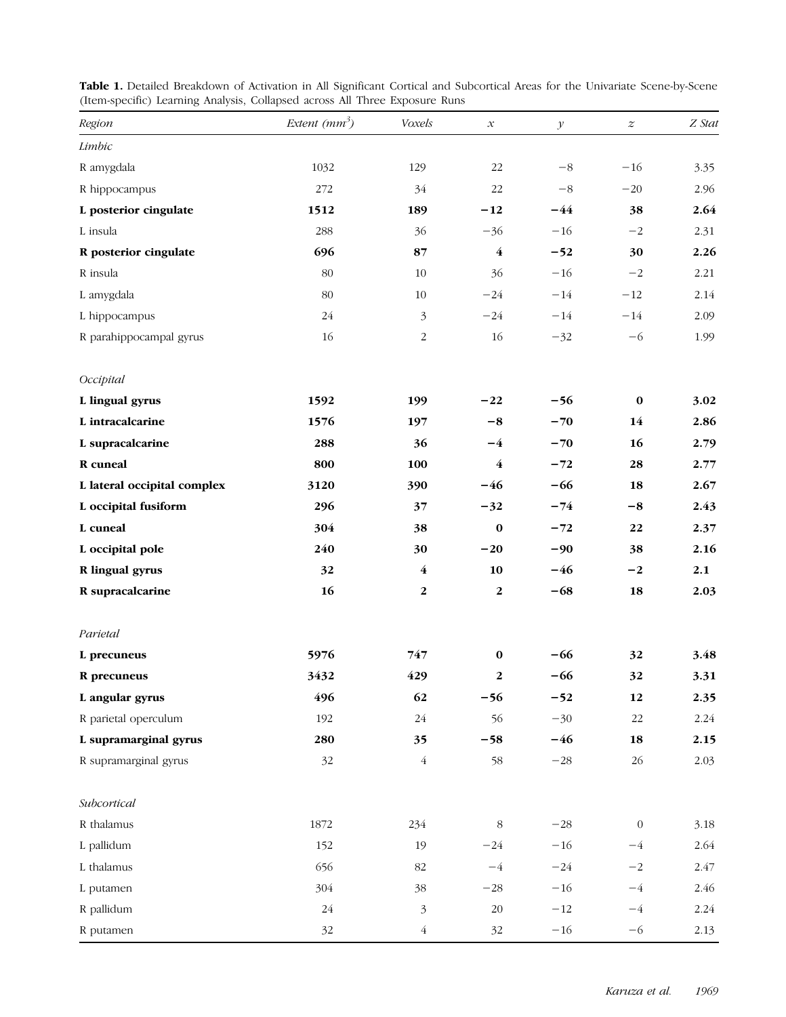| Region                      | Extent $(mm^3)$ | Voxels                  | $\mathcal{X}% _{0}$     | $\mathcal Y$ | $\boldsymbol{z}$ | Z Stat |
|-----------------------------|-----------------|-------------------------|-------------------------|--------------|------------------|--------|
| Limbic                      |                 |                         |                         |              |                  |        |
| R amygdala                  | 1032            | 129                     | 22                      | $-8$         | $-16\,$          | 3.35   |
| R hippocampus               | 272             | 34                      | 22                      | $-8\,$       | $-20$            | 2.96   |
| L posterior cingulate       | 1512            | 189                     | $-12$                   | $-44$        | 38               | 2.64   |
| L insula                    | 288             | 36                      | $-36$                   | $-16\,$      | $-2$             | 2.31   |
| R posterior cingulate       | 696             | 87                      | $\overline{\mathbf{4}}$ | $-52$        | 30               | 2.26   |
| R insula                    | $80\,$          | 10                      | 36                      | $-16\,$      | $-2$             | 2.21   |
| L amygdala                  | $80\,$          | $10\,$                  | $-24$                   | $-14$        | $-12$            | 2.14   |
| L hippocampus               | $24\,$          | $\mathfrak{Z}$          | $-24$                   | $-14$        | $-14$            | 2.09   |
| R parahippocampal gyrus     | 16              | $\overline{\mathbf{c}}$ | 16                      | $-32$        | $-6$             | 1.99   |
| Occipital                   |                 |                         |                         |              |                  |        |
| L lingual gyrus             | 1592            | 199                     | $-22$                   | $-56$        | $\bf{0}$         | 3.02   |
| L intracalcarine            | 1576            | 197                     | $-8$                    | $-70$        | 14               | 2.86   |
| L supracalcarine            | 288             | 36                      | $-4$                    | $-70$        | 16               | 2.79   |
| R cuneal                    | 800             | 100                     | $\overline{\mathbf{4}}$ | $-72$        | 28               | 2.77   |
| L lateral occipital complex | 3120            | 390                     | $-46$                   | $-66$        | 18               | 2.67   |
| L occipital fusiform        | 296             | 37                      | $-32$                   | $-74$        | $-8$             | 2.43   |
| L cuneal                    | 304             | 38                      | $\boldsymbol{0}$        | $-72$        | 22               | 2.37   |
| L occipital pole            | 240             | 30                      | $-20$                   | $-90$        | 38               | 2.16   |
| R lingual gyrus             | 32              | $\overline{\mathbf{4}}$ | 10                      | $-46$        | $-2$             | 2.1    |
| R supracalcarine            | 16              | $\bf 2$                 | $\bf 2$                 | $-68$        | 18               | 2.03   |
| Parietal                    |                 |                         |                         |              |                  |        |
| L precuneus                 | 5976            | 747                     | $\bf{0}$                | $-66$        | 32               | 3.48   |
| R precuneus                 | 3432            | 429                     | $\boldsymbol{2}$        | $-66$        | 32               | 3.31   |
| L angular gyrus             | 496             | 62                      | $-56$                   | $-52$        | 12               | 2.35   |
| R parietal operculum        | 192             | 24                      | 56                      | $-30$        | 22               | 2.24   |
| L supramarginal gyrus       | 280             | 35                      | $-58$                   | $-46$        | 18               | 2.15   |
| R supramarginal gyrus       | 32              | $\sqrt{4}$              | 58                      | $-28\,$      | 26               | 2.03   |
| Subcortical                 |                 |                         |                         |              |                  |        |
| R thalamus                  | 1872            | 234                     | $8\,$                   | $-28\,$      | $\boldsymbol{0}$ | 3.18   |
| L pallidum                  | 152             | 19                      | $-24$                   | $-16$        | $-4$             | 2.64   |
| L thalamus                  | 656             | $82\,$                  | $-4$                    | $-24$        | $-2$             | 2.47   |
| L putamen                   | 304             | 38                      | $-28$                   | $-16\,$      | $-4$             | 2.46   |
| R pallidum                  | $24\,$          | $\mathfrak{Z}$          | $20\,$                  | $-12$        | $-4$             | 2.24   |
| R putamen                   | 32              | $\overline{4}$          | 32                      | $-16$        | $-6$             | 2.13   |

| Table 1. Detailed Breakdown of Activation in All Significant Cortical and Subcortical Areas for the Univariate Scene-by-Scene |  |  |  |  |  |
|-------------------------------------------------------------------------------------------------------------------------------|--|--|--|--|--|
| (Item-specific) Learning Analysis, Collapsed across All Three Exposure Runs                                                   |  |  |  |  |  |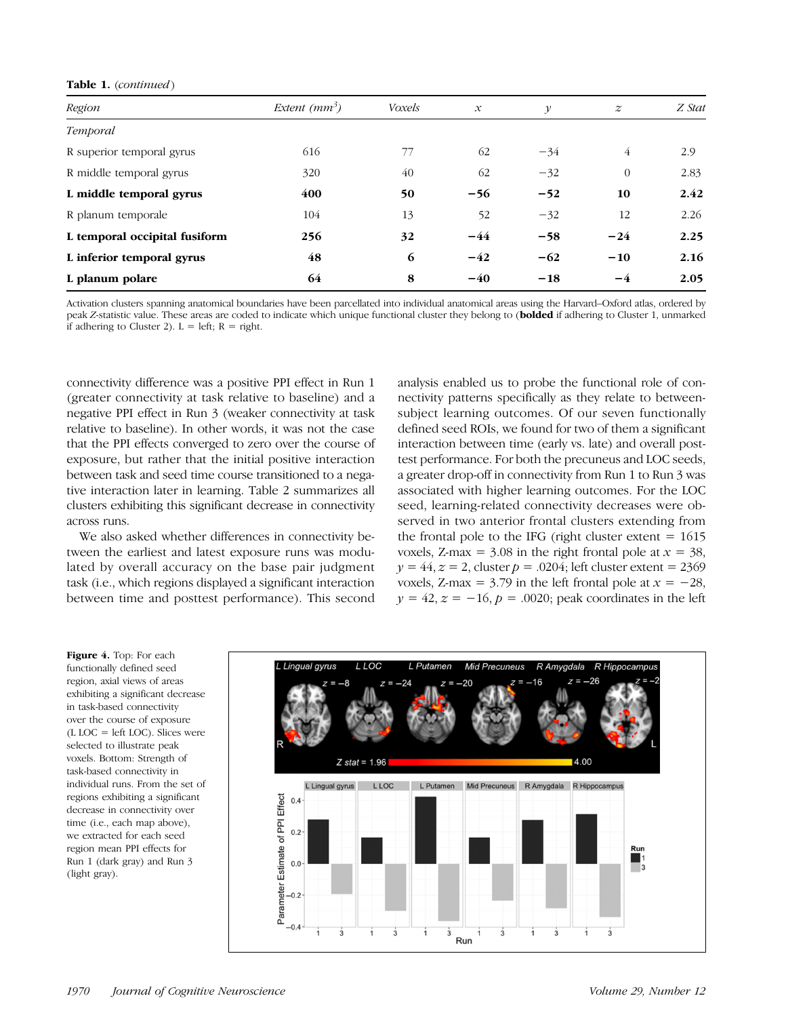#### Table 1. (continued)

| Region                        | Extent $(mm^3)$ | Voxels | $\mathcal{X}$ | $\mathcal{Y}$ | $\boldsymbol{z}$ | Z Stat |
|-------------------------------|-----------------|--------|---------------|---------------|------------------|--------|
| Temporal                      |                 |        |               |               |                  |        |
| R superior temporal gyrus     | 616             | 77     | 62            | $-34$         | $\overline{4}$   | 2.9    |
| R middle temporal gyrus       | 320             | 40     | 62            | $-32$         | $\Omega$         | 2.83   |
| L middle temporal gyrus       | 400             | 50     | $-56$         | $-52$         | 10               | 2.42   |
| R planum temporale            | 104             | 13     | 52            | $-32$         | 12               | 2.26   |
| L temporal occipital fusiform | 256             | 32     | $-44$         | $-58$         | $-24$            | 2.25   |
| L inferior temporal gyrus     | 48              | 6      | $-42$         | $-62$         | $-10$            | 2.16   |
| L planum polare               | 64              | 8      | $-40$         | $-18$         | $-4$             | 2.05   |

Activation clusters spanning anatomical boundaries have been parcellated into individual anatomical areas using the Harvard–Oxford atlas, ordered by peak Z-statistic value. These areas are coded to indicate which unique functional cluster they belong to (bolded if adhering to Cluster 1, unmarked if adhering to Cluster 2).  $L = left$ ;  $R = right$ .

connectivity difference was a positive PPI effect in Run 1 (greater connectivity at task relative to baseline) and a negative PPI effect in Run 3 (weaker connectivity at task relative to baseline). In other words, it was not the case that the PPI effects converged to zero over the course of exposure, but rather that the initial positive interaction between task and seed time course transitioned to a negative interaction later in learning. Table 2 summarizes all clusters exhibiting this significant decrease in connectivity across runs.

We also asked whether differences in connectivity between the earliest and latest exposure runs was modulated by overall accuracy on the base pair judgment task (i.e., which regions displayed a significant interaction between time and posttest performance). This second

analysis enabled us to probe the functional role of connectivity patterns specifically as they relate to betweensubject learning outcomes. Of our seven functionally defined seed ROIs, we found for two of them a significant interaction between time (early vs. late) and overall posttest performance. For both the precuneus and LOC seeds, a greater drop-off in connectivity from Run 1 to Run 3 was associated with higher learning outcomes. For the LOC seed, learning-related connectivity decreases were observed in two anterior frontal clusters extending from the frontal pole to the IFG (right cluster extent  $= 1615$ ) voxels, Z-max =  $3.08$  in the right frontal pole at  $x = 38$ ,  $y = 44$ ,  $z = 2$ , cluster  $p = .0204$ ; left cluster extent = 2369 voxels, Z-max = 3.79 in the left frontal pole at  $x = -28$ ,  $y = 42$ ,  $z = -16$ ,  $p = .0020$ ; peak coordinates in the left

Figure 4. Top: For each functionally defined seed region, axial views of areas exhibiting a significant decrease in task-based connectivity over the course of exposure  $(L$  LOC = left LOC). Slices were selected to illustrate peak voxels. Bottom: Strength of task-based connectivity in individual runs. From the set of regions exhibiting a significant decrease in connectivity over time (i.e., each map above), we extracted for each seed region mean PPI effects for Run 1 (dark gray) and Run 3 (light gray).

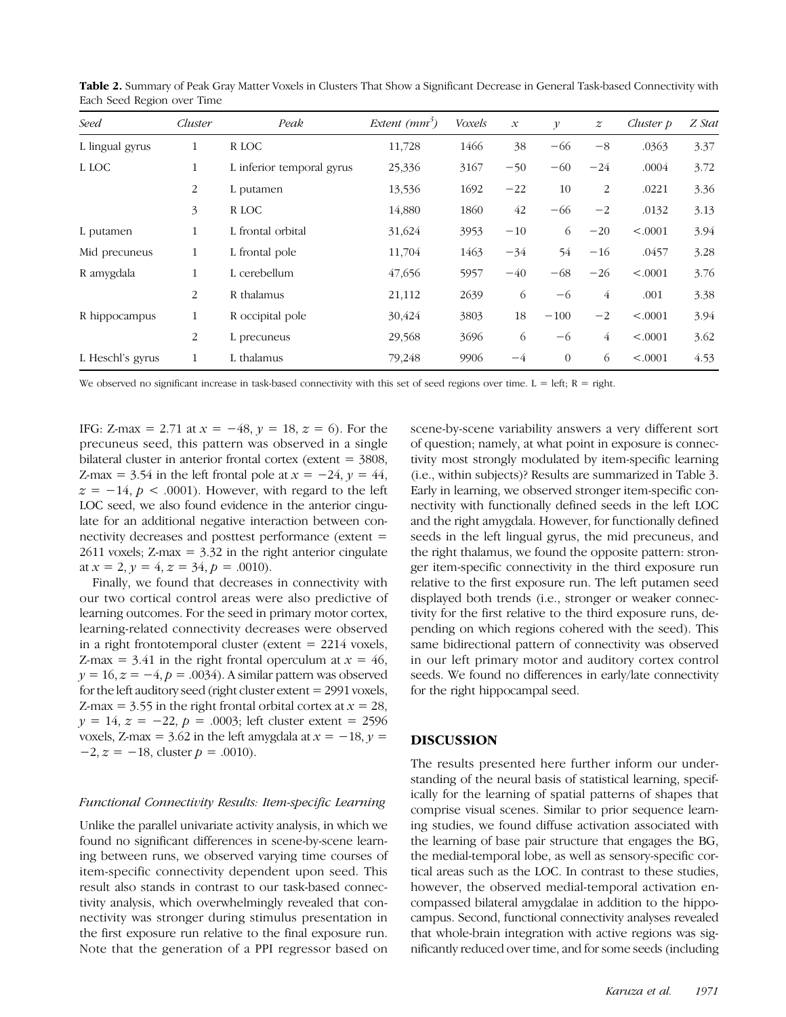| Seed             | Cluster | Peak                      | Extent $(mm^3)$ | Voxels | $\mathcal{X}% _{0}$ | $\mathcal{Y}$ | $\boldsymbol{z}$ | Cluster p | Z Stat |
|------------------|---------|---------------------------|-----------------|--------|---------------------|---------------|------------------|-----------|--------|
| L lingual gyrus  | 1       | R LOC                     | 11,728          | 1466   | 38                  | $-66$         | $-8$             | .0363     | 3.37   |
| L LOC            | 1       | L inferior temporal gyrus | 25,336          | 3167   | $-50$               | $-60$         | $-24$            | .0004     | 3.72   |
|                  | 2       | L putamen                 | 13,536          | 1692   | $-22$               | 10            | 2                | .0221     | 3.36   |
|                  | 3       | R LOC                     | 14,880          | 1860   | 42                  | $-66$         | $-2$             | .0132     | 3.13   |
| L putamen        | 1       | L frontal orbital         | 31,624          | 3953   | $-10$               | 6             | $-20$            | < .0001   | 3.94   |
| Mid precuneus    | 1       | L frontal pole            | 11,704          | 1463   | $-34$               | 54            | $-16$            | .0457     | 3.28   |
| R amygdala       | 1       | L cerebellum              | 47,656          | 5957   | $-40$               | $-68$         | $-26$            | < .0001   | 3.76   |
|                  | 2       | R thalamus                | 21,112          | 2639   | 6                   | -6            | $\overline{4}$   | .001      | 3.38   |
| R hippocampus    | 1       | R occipital pole          | 30,424          | 3803   | 18                  | $-100$        | $-2$             | < .0001   | 3.94   |
|                  | 2       | L precuneus               | 29,568          | 3696   | 6                   | -6            | $\overline{4}$   | < .0001   | 3.62   |
| L Heschl's gyrus | 1       | L thalamus                | 79,248          | 9906   | $-4$                | $\Omega$      | 6                | < .0001   | 4.53   |

Table 2. Summary of Peak Gray Matter Voxels in Clusters That Show a Significant Decrease in General Task-based Connectivity with Each Seed Region over Time

We observed no significant increase in task-based connectivity with this set of seed regions over time. L = left;  $R =$  right.

IFG: Z-max = 2.71 at  $x = -48$ ,  $y = 18$ ,  $z = 6$ ). For the precuneus seed, this pattern was observed in a single bilateral cluster in anterior frontal cortex (extent = 3808, Z-max = 3.54 in the left frontal pole at  $x = -24$ ,  $y = 44$ ,  $z = -14$ ,  $p < .0001$ ). However, with regard to the left LOC seed, we also found evidence in the anterior cingulate for an additional negative interaction between connectivity decreases and posttest performance (extent = 2611 voxels; Z-max  $= 3.32$  in the right anterior cingulate at  $x = 2$ ,  $y = 4$ ,  $z = 34$ ,  $p = .0010$ ).

Finally, we found that decreases in connectivity with our two cortical control areas were also predictive of learning outcomes. For the seed in primary motor cortex, learning-related connectivity decreases were observed in a right frontotemporal cluster (extent  $= 2214$  voxels, Z-max = 3.41 in the right frontal operculum at  $x = 46$ ,  $y = 16$ ,  $z = -4$ ,  $p = .0034$ ). A similar pattern was observed for the left auditory seed (right cluster extent = 2991 voxels, Z-max = 3.55 in the right frontal orbital cortex at  $x = 28$ ,  $y = 14$ ,  $z = -22$ ,  $p = .0003$ ; left cluster extent = 2596 voxels, Z-max =  $3.62$  in the left amygdala at  $x = -18$ ,  $y =$  $-2$ ,  $z = -18$ , cluster  $p = .0010$ .

#### Functional Connectivity Results: Item-specific Learning

Unlike the parallel univariate activity analysis, in which we found no significant differences in scene-by-scene learning between runs, we observed varying time courses of item-specific connectivity dependent upon seed. This result also stands in contrast to our task-based connectivity analysis, which overwhelmingly revealed that connectivity was stronger during stimulus presentation in the first exposure run relative to the final exposure run. Note that the generation of a PPI regressor based on

scene-by-scene variability answers a very different sort of question; namely, at what point in exposure is connectivity most strongly modulated by item-specific learning (i.e., within subjects)? Results are summarized in Table 3. Early in learning, we observed stronger item-specific connectivity with functionally defined seeds in the left LOC and the right amygdala. However, for functionally defined seeds in the left lingual gyrus, the mid precuneus, and the right thalamus, we found the opposite pattern: stronger item-specific connectivity in the third exposure run relative to the first exposure run. The left putamen seed displayed both trends (i.e., stronger or weaker connectivity for the first relative to the third exposure runs, depending on which regions cohered with the seed). This same bidirectional pattern of connectivity was observed in our left primary motor and auditory cortex control seeds. We found no differences in early/late connectivity for the right hippocampal seed.

## DISCUSSION

The results presented here further inform our understanding of the neural basis of statistical learning, specifically for the learning of spatial patterns of shapes that comprise visual scenes. Similar to prior sequence learning studies, we found diffuse activation associated with the learning of base pair structure that engages the BG, the medial-temporal lobe, as well as sensory-specific cortical areas such as the LOC. In contrast to these studies, however, the observed medial-temporal activation encompassed bilateral amygdalae in addition to the hippocampus. Second, functional connectivity analyses revealed that whole-brain integration with active regions was significantly reduced over time, and for some seeds (including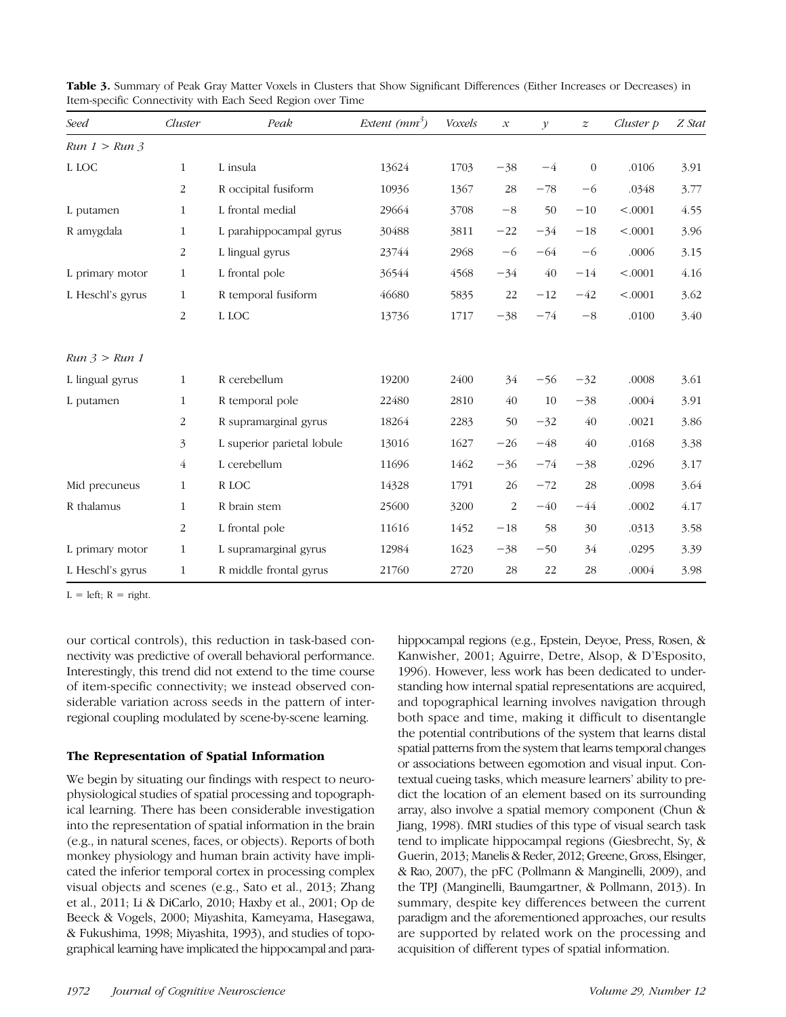| Seed             | Cluster        | Peak                       | Extent $(mm^3)$ | Voxels | $\mathcal{X}% _{0}$ | $\mathcal{Y}$ | $\boldsymbol{z}$ | Cluster p | Z Stat |
|------------------|----------------|----------------------------|-----------------|--------|---------------------|---------------|------------------|-----------|--------|
| Run 1 > Run 3    |                |                            |                 |        |                     |               |                  |           |        |
| L LOC            | $\mathbf{1}$   | L insula                   | 13624           | 1703   | $-38$               | $-4$          | $\theta$         | .0106     | 3.91   |
|                  | $\overline{c}$ | R occipital fusiform       | 10936           | 1367   | 28                  | $-78$         | $-6$             | .0348     | 3.77   |
| L putamen        | $\mathbf{1}$   | L frontal medial           | 29664           | 3708   | $-8$                | 50            | $-10$            | < .0001   | 4.55   |
| R amygdala       | $\mathbf{1}$   | L parahippocampal gyrus    | 30488           | 3811   | $-22$               | $-34$         | $-18$            | < .0001   | 3.96   |
|                  | 2              | L lingual gyrus            | 23744           | 2968   | $-6$                | $-64$         | $-6$             | .0006     | 3.15   |
| L primary motor  | $\mathbf{1}$   | L frontal pole             | 36544           | 4568   | $-34$               | 40            | $-14$            | < .0001   | 4.16   |
| L Heschl's gyrus | $\mathbf{1}$   | R temporal fusiform        | 46680           | 5835   | 22                  | $-12$         | $-42$            | < .0001   | 3.62   |
|                  | $\overline{2}$ | L LOC                      | 13736           | 1717   | $-38$               | $-74$         | $-8$             | .0100     | 3.40   |
| Run 3 > Run 1    |                |                            |                 |        |                     |               |                  |           |        |
| L lingual gyrus  | $\mathbf{1}$   | R cerebellum               | 19200           | 2400   | 34                  | $-56$         | $-32$            | .0008     | 3.61   |
| L putamen        | $\mathbf{1}$   | R temporal pole            | 22480           | 2810   | 40                  | 10            | $-38$            | .0004     | 3.91   |
|                  | 2              | R supramarginal gyrus      | 18264           | 2283   | 50                  | $-32$         | 40               | .0021     | 3.86   |
|                  | 3              | L superior parietal lobule | 13016           | 1627   | $-26$               | $-48$         | 40               | .0168     | 3.38   |
|                  | $\overline{4}$ | L cerebellum               | 11696           | 1462   | $-36$               | $-74$         | $-38$            | .0296     | 3.17   |
| Mid precuneus    | $\mathbf{1}$   | $\mathbb R$ LOC            | 14328           | 1791   | 26                  | $-72$         | 28               | .0098     | 3.64   |
| R thalamus       | $\mathbf{1}$   | R brain stem               | 25600           | 3200   | $\overline{c}$      | $-40$         | $-44$            | .0002     | 4.17   |
|                  | $\overline{2}$ | L frontal pole             | 11616           | 1452   | $-18$               | 58            | 30               | .0313     | 3.58   |
| L primary motor  | $\mathbf{1}$   | L supramarginal gyrus      | 12984           | 1623   | $-38$               | $-50$         | 34               | .0295     | 3.39   |
| L Heschl's gyrus | $\mathbf{1}$   | R middle frontal gyrus     | 21760           | 2720   | 28                  | 22            | 28               | .0004     | 3.98   |

Table 3. Summary of Peak Gray Matter Voxels in Clusters that Show Significant Differences (Either Increases or Decreases) in Item-specific Connectivity with Each Seed Region over Time

 $L = left$ ;  $R = right$ .

our cortical controls), this reduction in task-based connectivity was predictive of overall behavioral performance. Interestingly, this trend did not extend to the time course of item-specific connectivity; we instead observed considerable variation across seeds in the pattern of interregional coupling modulated by scene-by-scene learning.

# The Representation of Spatial Information

We begin by situating our findings with respect to neurophysiological studies of spatial processing and topographical learning. There has been considerable investigation into the representation of spatial information in the brain (e.g., in natural scenes, faces, or objects). Reports of both monkey physiology and human brain activity have implicated the inferior temporal cortex in processing complex visual objects and scenes (e.g., Sato et al., 2013; Zhang et al., 2011; Li & DiCarlo, 2010; Haxby et al., 2001; Op de Beeck & Vogels, 2000; Miyashita, Kameyama, Hasegawa, & Fukushima, 1998; Miyashita, 1993), and studies of topographical learning have implicated the hippocampal and para-

hippocampal regions (e.g., Epstein, Deyoe, Press, Rosen, & Kanwisher, 2001; Aguirre, Detre, Alsop, & D'Esposito, 1996). However, less work has been dedicated to understanding how internal spatial representations are acquired, and topographical learning involves navigation through both space and time, making it difficult to disentangle the potential contributions of the system that learns distal spatial patterns from the system that learns temporal changes or associations between egomotion and visual input. Contextual cueing tasks, which measure learners' ability to predict the location of an element based on its surrounding array, also involve a spatial memory component (Chun & Jiang, 1998). fMRI studies of this type of visual search task tend to implicate hippocampal regions (Giesbrecht, Sy, & Guerin, 2013; Manelis & Reder, 2012; Greene, Gross, Elsinger, & Rao, 2007), the pFC (Pollmann & Manginelli, 2009), and the TPJ (Manginelli, Baumgartner, & Pollmann, 2013). In summary, despite key differences between the current paradigm and the aforementioned approaches, our results are supported by related work on the processing and acquisition of different types of spatial information.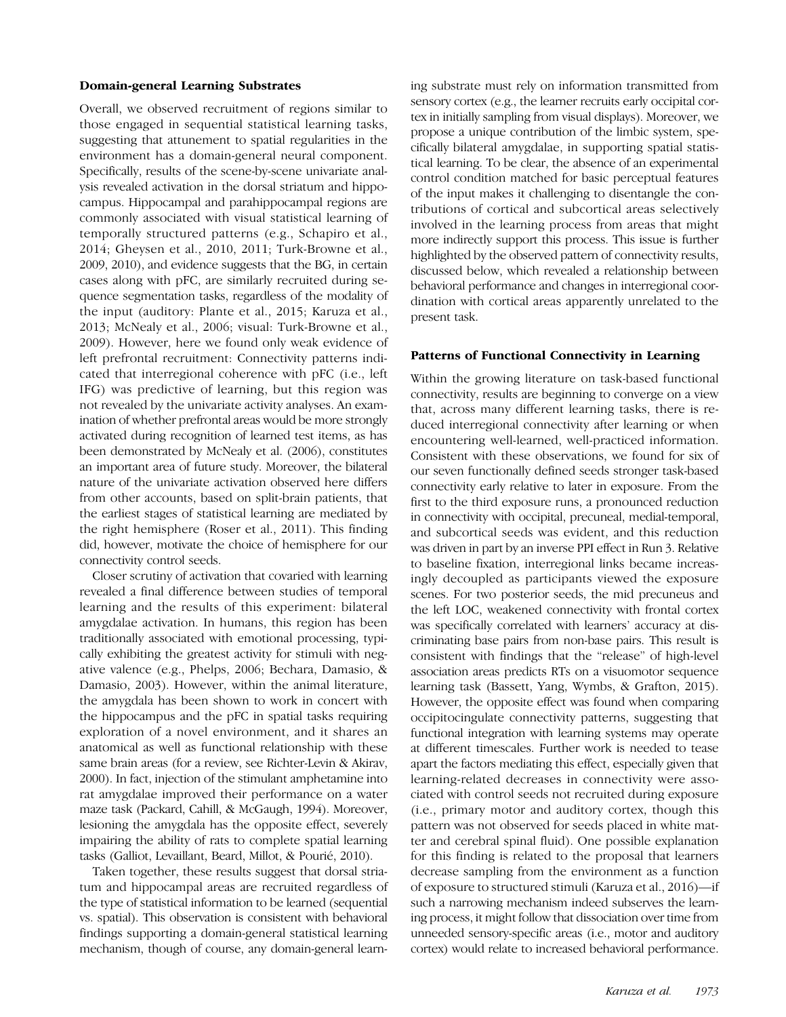## Domain-general Learning Substrates

Overall, we observed recruitment of regions similar to those engaged in sequential statistical learning tasks, suggesting that attunement to spatial regularities in the environment has a domain-general neural component. Specifically, results of the scene-by-scene univariate analysis revealed activation in the dorsal striatum and hippocampus. Hippocampal and parahippocampal regions are commonly associated with visual statistical learning of temporally structured patterns (e.g., Schapiro et al., 2014; Gheysen et al., 2010, 2011; Turk-Browne et al., 2009, 2010), and evidence suggests that the BG, in certain cases along with pFC, are similarly recruited during sequence segmentation tasks, regardless of the modality of the input (auditory: Plante et al., 2015; Karuza et al., 2013; McNealy et al., 2006; visual: Turk-Browne et al., 2009). However, here we found only weak evidence of left prefrontal recruitment: Connectivity patterns indicated that interregional coherence with pFC (i.e., left IFG) was predictive of learning, but this region was not revealed by the univariate activity analyses. An examination of whether prefrontal areas would be more strongly activated during recognition of learned test items, as has been demonstrated by McNealy et al. (2006), constitutes an important area of future study. Moreover, the bilateral nature of the univariate activation observed here differs from other accounts, based on split-brain patients, that the earliest stages of statistical learning are mediated by the right hemisphere (Roser et al., 2011). This finding did, however, motivate the choice of hemisphere for our connectivity control seeds.

Closer scrutiny of activation that covaried with learning revealed a final difference between studies of temporal learning and the results of this experiment: bilateral amygdalae activation. In humans, this region has been traditionally associated with emotional processing, typically exhibiting the greatest activity for stimuli with negative valence (e.g., Phelps, 2006; Bechara, Damasio, & Damasio, 2003). However, within the animal literature, the amygdala has been shown to work in concert with the hippocampus and the pFC in spatial tasks requiring exploration of a novel environment, and it shares an anatomical as well as functional relationship with these same brain areas (for a review, see Richter-Levin & Akirav, 2000). In fact, injection of the stimulant amphetamine into rat amygdalae improved their performance on a water maze task (Packard, Cahill, & McGaugh, 1994). Moreover, lesioning the amygdala has the opposite effect, severely impairing the ability of rats to complete spatial learning tasks (Galliot, Levaillant, Beard, Millot, & Pourié, 2010).

Taken together, these results suggest that dorsal striatum and hippocampal areas are recruited regardless of the type of statistical information to be learned (sequential vs. spatial). This observation is consistent with behavioral findings supporting a domain-general statistical learning mechanism, though of course, any domain-general learning substrate must rely on information transmitted from sensory cortex (e.g., the learner recruits early occipital cortex in initially sampling from visual displays). Moreover, we propose a unique contribution of the limbic system, specifically bilateral amygdalae, in supporting spatial statistical learning. To be clear, the absence of an experimental control condition matched for basic perceptual features of the input makes it challenging to disentangle the contributions of cortical and subcortical areas selectively involved in the learning process from areas that might more indirectly support this process. This issue is further highlighted by the observed pattern of connectivity results, discussed below, which revealed a relationship between behavioral performance and changes in interregional coordination with cortical areas apparently unrelated to the present task.

#### Patterns of Functional Connectivity in Learning

Within the growing literature on task-based functional connectivity, results are beginning to converge on a view that, across many different learning tasks, there is reduced interregional connectivity after learning or when encountering well-learned, well-practiced information. Consistent with these observations, we found for six of our seven functionally defined seeds stronger task-based connectivity early relative to later in exposure. From the first to the third exposure runs, a pronounced reduction in connectivity with occipital, precuneal, medial-temporal, and subcortical seeds was evident, and this reduction was driven in part by an inverse PPI effect in Run 3. Relative to baseline fixation, interregional links became increasingly decoupled as participants viewed the exposure scenes. For two posterior seeds, the mid precuneus and the left LOC, weakened connectivity with frontal cortex was specifically correlated with learners' accuracy at discriminating base pairs from non-base pairs. This result is consistent with findings that the "release" of high-level association areas predicts RTs on a visuomotor sequence learning task (Bassett, Yang, Wymbs, & Grafton, 2015). However, the opposite effect was found when comparing occipitocingulate connectivity patterns, suggesting that functional integration with learning systems may operate at different timescales. Further work is needed to tease apart the factors mediating this effect, especially given that learning-related decreases in connectivity were associated with control seeds not recruited during exposure (i.e., primary motor and auditory cortex, though this pattern was not observed for seeds placed in white matter and cerebral spinal fluid). One possible explanation for this finding is related to the proposal that learners decrease sampling from the environment as a function of exposure to structured stimuli (Karuza et al., 2016)—if such a narrowing mechanism indeed subserves the learning process, it might follow that dissociation over time from unneeded sensory-specific areas (i.e., motor and auditory cortex) would relate to increased behavioral performance.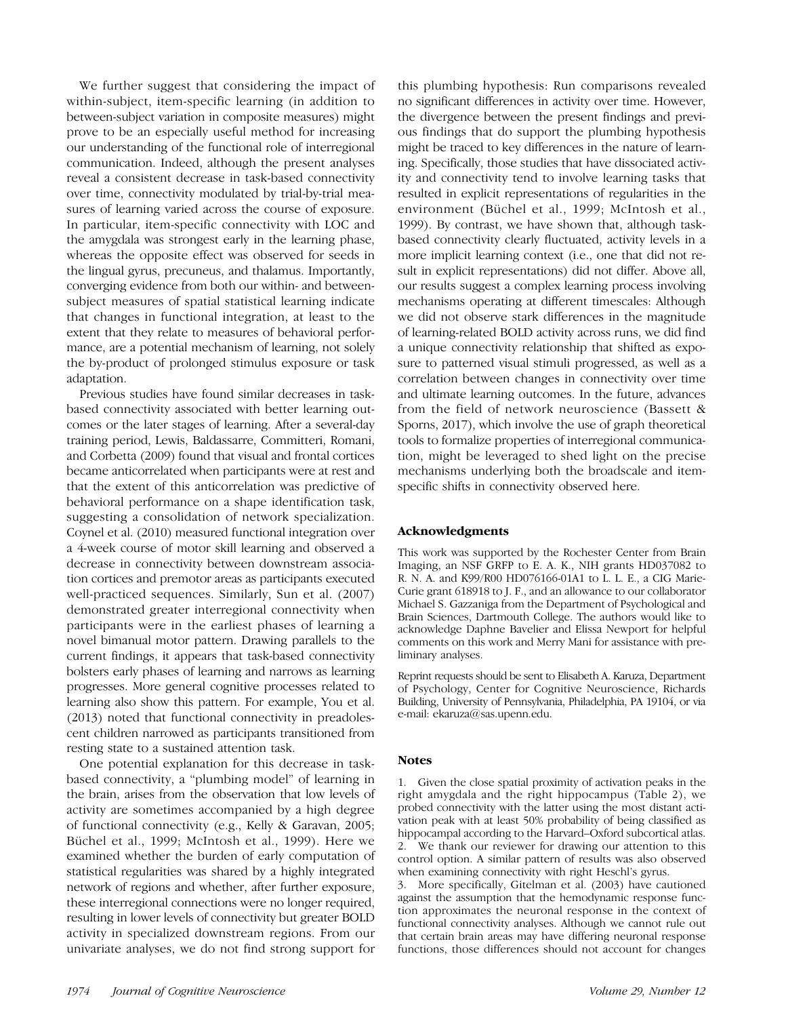We further suggest that considering the impact of within-subject, item-specific learning (in addition to between-subject variation in composite measures) might prove to be an especially useful method for increasing our understanding of the functional role of interregional communication. Indeed, although the present analyses reveal a consistent decrease in task-based connectivity over time, connectivity modulated by trial-by-trial measures of learning varied across the course of exposure. In particular, item-specific connectivity with LOC and the amygdala was strongest early in the learning phase, whereas the opposite effect was observed for seeds in the lingual gyrus, precuneus, and thalamus. Importantly, converging evidence from both our within- and betweensubject measures of spatial statistical learning indicate that changes in functional integration, at least to the extent that they relate to measures of behavioral performance, are a potential mechanism of learning, not solely the by-product of prolonged stimulus exposure or task adaptation.

Previous studies have found similar decreases in taskbased connectivity associated with better learning outcomes or the later stages of learning. After a several-day training period, Lewis, Baldassarre, Committeri, Romani, and Corbetta (2009) found that visual and frontal cortices became anticorrelated when participants were at rest and that the extent of this anticorrelation was predictive of behavioral performance on a shape identification task, suggesting a consolidation of network specialization. Coynel et al. (2010) measured functional integration over a 4-week course of motor skill learning and observed a decrease in connectivity between downstream association cortices and premotor areas as participants executed well-practiced sequences. Similarly, Sun et al. (2007) demonstrated greater interregional connectivity when participants were in the earliest phases of learning a novel bimanual motor pattern. Drawing parallels to the current findings, it appears that task-based connectivity bolsters early phases of learning and narrows as learning progresses. More general cognitive processes related to learning also show this pattern. For example, You et al. (2013) noted that functional connectivity in preadolescent children narrowed as participants transitioned from resting state to a sustained attention task.

One potential explanation for this decrease in taskbased connectivity, a "plumbing model" of learning in the brain, arises from the observation that low levels of activity are sometimes accompanied by a high degree of functional connectivity (e.g., Kelly & Garavan, 2005; Büchel et al., 1999; McIntosh et al., 1999). Here we examined whether the burden of early computation of statistical regularities was shared by a highly integrated network of regions and whether, after further exposure, these interregional connections were no longer required, resulting in lower levels of connectivity but greater BOLD activity in specialized downstream regions. From our univariate analyses, we do not find strong support for

this plumbing hypothesis: Run comparisons revealed no significant differences in activity over time. However, the divergence between the present findings and previous findings that do support the plumbing hypothesis might be traced to key differences in the nature of learning. Specifically, those studies that have dissociated activity and connectivity tend to involve learning tasks that resulted in explicit representations of regularities in the environment (Büchel et al., 1999; McIntosh et al., 1999). By contrast, we have shown that, although taskbased connectivity clearly fluctuated, activity levels in a more implicit learning context (i.e., one that did not result in explicit representations) did not differ. Above all, our results suggest a complex learning process involving mechanisms operating at different timescales: Although we did not observe stark differences in the magnitude of learning-related BOLD activity across runs, we did find a unique connectivity relationship that shifted as exposure to patterned visual stimuli progressed, as well as a correlation between changes in connectivity over time and ultimate learning outcomes. In the future, advances from the field of network neuroscience (Bassett & Sporns, 2017), which involve the use of graph theoretical tools to formalize properties of interregional communication, might be leveraged to shed light on the precise mechanisms underlying both the broadscale and itemspecific shifts in connectivity observed here.

#### Acknowledgments

This work was supported by the Rochester Center from Brain Imaging, an NSF GRFP to E. A. K., NIH grants HD037082 to R. N. A. and K99/R00 HD076166-01A1 to L. L. E., a CIG Marie-Curie grant 618918 to J. F., and an allowance to our collaborator Michael S. Gazzaniga from the Department of Psychological and Brain Sciences, Dartmouth College. The authors would like to acknowledge Daphne Bavelier and Elissa Newport for helpful comments on this work and Merry Mani for assistance with preliminary analyses.

Reprint requests should be sent to Elisabeth A. Karuza, Department of Psychology, Center for Cognitive Neuroscience, Richards Building, University of Pennsylvania, Philadelphia, PA 19104, or via e-mail: ekaruza@sas.upenn.edu.

## **Notes**

1. Given the close spatial proximity of activation peaks in the right amygdala and the right hippocampus (Table 2), we probed connectivity with the latter using the most distant activation peak with at least 50% probability of being classified as hippocampal according to the Harvard–Oxford subcortical atlas. 2. We thank our reviewer for drawing our attention to this control option. A similar pattern of results was also observed when examining connectivity with right Heschl's gyrus.

3. More specifically, Gitelman et al. (2003) have cautioned against the assumption that the hemodynamic response function approximates the neuronal response in the context of functional connectivity analyses. Although we cannot rule out that certain brain areas may have differing neuronal response functions, those differences should not account for changes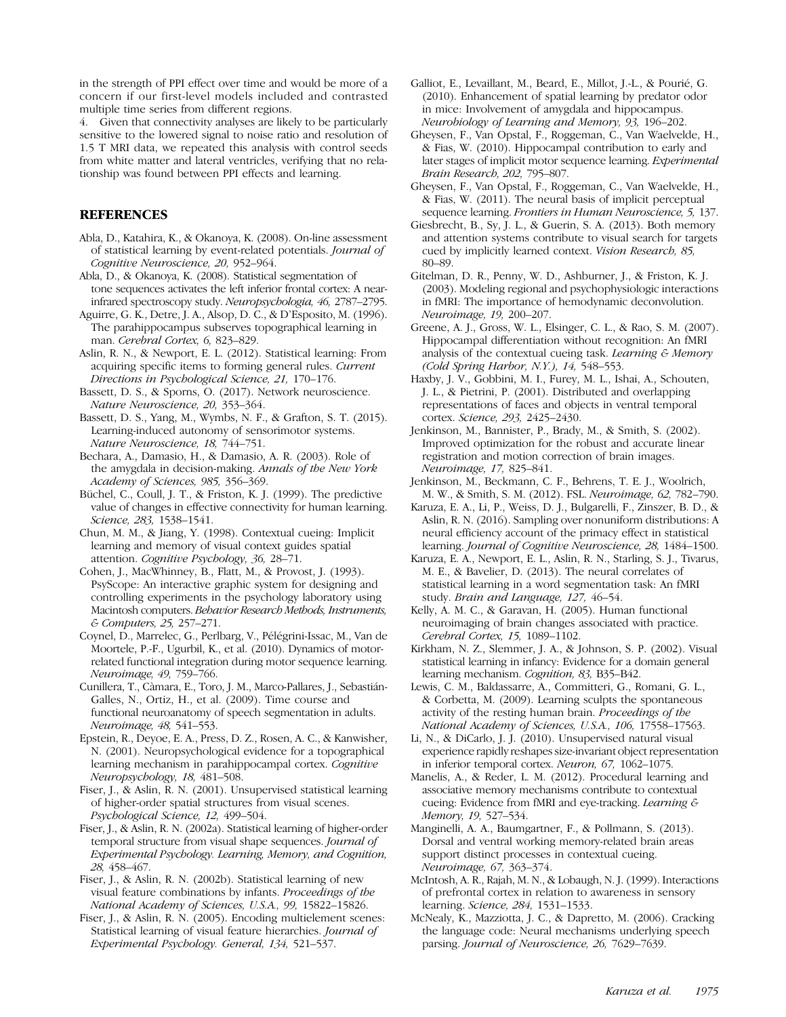in the strength of PPI effect over time and would be more of a concern if our first-level models included and contrasted multiple time series from different regions.

4. Given that connectivity analyses are likely to be particularly sensitive to the lowered signal to noise ratio and resolution of 1.5 T MRI data, we repeated this analysis with control seeds from white matter and lateral ventricles, verifying that no relationship was found between PPI effects and learning.

# REFERENCES

- Abla, D., Katahira, K., & Okanoya, K. (2008). On-line assessment of statistical learning by event-related potentials. Journal of Cognitive Neuroscience, 20, 952–964.
- Abla, D., & Okanoya, K. (2008). Statistical segmentation of tone sequences activates the left inferior frontal cortex: A nearinfrared spectroscopy study. Neuropsychologia, 46, 2787–2795.
- Aguirre, G. K., Detre, J. A., Alsop, D. C., & D'Esposito, M. (1996). The parahippocampus subserves topographical learning in man. Cerebral Cortex, 6, 823–829.
- Aslin, R. N., & Newport, E. L. (2012). Statistical learning: From acquiring specific items to forming general rules. Current Directions in Psychological Science, 21, 170–176.

Bassett, D. S., & Sporns, O. (2017). Network neuroscience. Nature Neuroscience, 20, 353–364.

Bassett, D. S., Yang, M., Wymbs, N. F., & Grafton, S. T. (2015). Learning-induced autonomy of sensorimotor systems. Nature Neuroscience, 18, 744–751.

Bechara, A., Damasio, H., & Damasio, A. R. (2003). Role of the amygdala in decision-making. Annals of the New York Academy of Sciences, 985, 356–369.

Büchel, C., Coull, J. T., & Friston, K. J. (1999). The predictive value of changes in effective connectivity for human learning. Science, 283, 1538–1541.

Chun, M. M., & Jiang, Y. (1998). Contextual cueing: Implicit learning and memory of visual context guides spatial attention. Cognitive Psychology, 36, 28–71.

Cohen, J., MacWhinney, B., Flatt, M., & Provost, J. (1993). PsyScope: An interactive graphic system for designing and controlling experiments in the psychology laboratory using Macintosh computers. Behavior Research Methods, Instruments, & Computers, 25, 257–271.

Coynel, D., Marrelec, G., Perlbarg, V., Pélégrini-Issac, M., Van de Moortele, P.-F., Ugurbil, K., et al. (2010). Dynamics of motorrelated functional integration during motor sequence learning. Neuroimage, 49, 759–766.

Cunillera, T., Càmara, E., Toro, J. M., Marco-Pallares, J., Sebastián-Galles, N., Ortiz, H., et al. (2009). Time course and functional neuroanatomy of speech segmentation in adults. Neuroimage, 48, 541–553.

Epstein, R., Deyoe, E. A., Press, D. Z., Rosen, A. C., & Kanwisher, N. (2001). Neuropsychological evidence for a topographical learning mechanism in parahippocampal cortex. Cognitive Neuropsychology, 18, 481–508.

Fiser, J., & Aslin, R. N. (2001). Unsupervised statistical learning of higher-order spatial structures from visual scenes. Psychological Science, 12, 499–504.

Fiser, J., & Aslin, R. N. (2002a). Statistical learning of higher-order temporal structure from visual shape sequences. Journal of Experimental Psychology. Learning, Memory, and Cognition, 28, 458–467.

Fiser, J., & Aslin, R. N. (2002b). Statistical learning of new visual feature combinations by infants. Proceedings of the National Academy of Sciences, U.S.A., 99, 15822–15826.

Fiser, J., & Aslin, R. N. (2005). Encoding multielement scenes: Statistical learning of visual feature hierarchies. Journal of Experimental Psychology. General, 134, 521–537.

Galliot, E., Levaillant, M., Beard, E., Millot, J.-L., & Pourié, G. (2010). Enhancement of spatial learning by predator odor in mice: Involvement of amygdala and hippocampus. Neurobiology of Learning and Memory, 93, 196–202.

Gheysen, F., Van Opstal, F., Roggeman, C., Van Waelvelde, H., & Fias, W. (2010). Hippocampal contribution to early and later stages of implicit motor sequence learning. Experimental Brain Research, 202, 795–807.

Gheysen, F., Van Opstal, F., Roggeman, C., Van Waelvelde, H., & Fias, W. (2011). The neural basis of implicit perceptual sequence learning. Frontiers in Human Neuroscience, 5, 137.

Giesbrecht, B., Sy, J. L., & Guerin, S. A. (2013). Both memory and attention systems contribute to visual search for targets cued by implicitly learned context. Vision Research, 85, 80–89.

Gitelman, D. R., Penny, W. D., Ashburner, J., & Friston, K. J. (2003). Modeling regional and psychophysiologic interactions in fMRI: The importance of hemodynamic deconvolution. Neuroimage, 19, 200–207.

Greene, A. J., Gross, W. L., Elsinger, C. L., & Rao, S. M. (2007). Hippocampal differentiation without recognition: An fMRI analysis of the contextual cueing task. Learning  $\epsilon$  Memory (Cold Spring Harbor, N.Y.), 14, 548–553.

Haxby, J. V., Gobbini, M. I., Furey, M. L., Ishai, A., Schouten, J. L., & Pietrini, P. (2001). Distributed and overlapping representations of faces and objects in ventral temporal cortex. Science, 293, 2425–2430.

Jenkinson, M., Bannister, P., Brady, M., & Smith, S. (2002). Improved optimization for the robust and accurate linear registration and motion correction of brain images. Neuroimage, 17, 825–841.

Jenkinson, M., Beckmann, C. F., Behrens, T. E. J., Woolrich, M. W., & Smith, S. M. (2012). FSL. Neuroimage, 62, 782–790.

Karuza, E. A., Li, P., Weiss, D. J., Bulgarelli, F., Zinszer, B. D., & Aslin, R. N. (2016). Sampling over nonuniform distributions: A neural efficiency account of the primacy effect in statistical learning. Journal of Cognitive Neuroscience, 28, 1484–1500.

Karuza, E. A., Newport, E. L., Aslin, R. N., Starling, S. J., Tivarus, M. E., & Bavelier, D. (2013). The neural correlates of statistical learning in a word segmentation task: An fMRI study. Brain and Language, 127, 46–54.

Kelly, A. M. C., & Garavan, H. (2005). Human functional neuroimaging of brain changes associated with practice. Cerebral Cortex, 15, 1089–1102.

Kirkham, N. Z., Slemmer, J. A., & Johnson, S. P. (2002). Visual statistical learning in infancy: Evidence for a domain general learning mechanism. Cognition, 83, B35–B42.

Lewis, C. M., Baldassarre, A., Committeri, G., Romani, G. L., & Corbetta, M. (2009). Learning sculpts the spontaneous activity of the resting human brain. Proceedings of the National Academy of Sciences, U.S.A., 106, 17558–17563.

Li, N., & DiCarlo, J. J. (2010). Unsupervised natural visual experience rapidly reshapes size-invariant object representation in inferior temporal cortex. Neuron, 67, 1062–1075.

Manelis, A., & Reder, L. M. (2012). Procedural learning and associative memory mechanisms contribute to contextual cueing: Evidence from fMRI and eye-tracking. Learning & Memory, 19, 527–534.

Manginelli, A. A., Baumgartner, F., & Pollmann, S. (2013). Dorsal and ventral working memory-related brain areas support distinct processes in contextual cueing. Neuroimage, 67, 363–374.

McIntosh, A. R., Rajah, M. N., & Lobaugh, N. J. (1999). Interactions of prefrontal cortex in relation to awareness in sensory learning. Science, 284, 1531–1533.

McNealy, K., Mazziotta, J. C., & Dapretto, M. (2006). Cracking the language code: Neural mechanisms underlying speech parsing. Journal of Neuroscience, 26, 7629–7639.